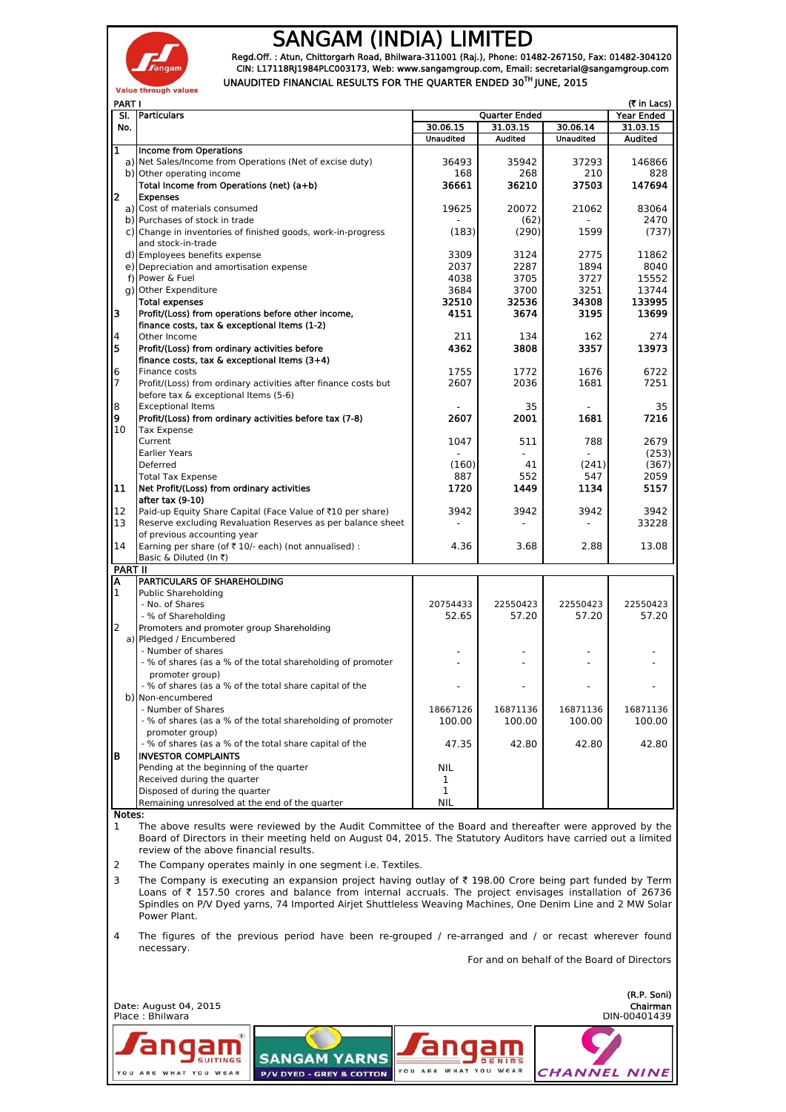

## SANGAM (INDIA) LIMITED

Regd.Off. : Atun, Chittorgarh Road, Bhilwara-311001 (Raj.), Phone: 01482-267150, Fax: 01482-304120 CIN: L17118RJ1984PLC003173, Web: www.sangamgroup.com, Email: secretarial@sangamgroup.com UNAUDITED FINANCIAL RESULTS FOR THE QUARTER ENDED 30TH JUNE, 2015

| <b>PART I</b><br>(₹ in Lacs)                                                                                       |                                                                                                                                                                                                                                           |                  |                           |                     |                        |
|--------------------------------------------------------------------------------------------------------------------|-------------------------------------------------------------------------------------------------------------------------------------------------------------------------------------------------------------------------------------------|------------------|---------------------------|---------------------|------------------------|
| SI.<br>No.                                                                                                         | Particulars                                                                                                                                                                                                                               | 30.06.15         | Quarter Ended<br>31.03.15 | 30.06.14            | Year Ended<br>31.03.15 |
|                                                                                                                    |                                                                                                                                                                                                                                           | <b>Unaudited</b> | Audited                   | <b>Unaudited</b>    | Audited                |
| $\mathbf{1}$                                                                                                       | <b>Income from Operations</b><br>a) Net Sales/Income from Operations (Net of excise duty)                                                                                                                                                 | 36493            | 35942                     | 37293               | 146866                 |
|                                                                                                                    | b) Other operating income                                                                                                                                                                                                                 | 168              | 268                       | 210                 | 828                    |
|                                                                                                                    | Total Income from Operations (net) (a+b)                                                                                                                                                                                                  | 36661            | 36210                     | 37503               | 147694                 |
| 2                                                                                                                  | <b>Expenses</b><br>a) Cost of materials consumed                                                                                                                                                                                          | 19625            | 20072                     | 21062               | 83064                  |
|                                                                                                                    | b) Purchases of stock in trade                                                                                                                                                                                                            |                  | (62)                      |                     | 2470                   |
|                                                                                                                    | c) Change in inventories of finished goods, work-in-progress                                                                                                                                                                              | (183)            | (290)                     | 1599                | (737)                  |
|                                                                                                                    | and stock-in-trade                                                                                                                                                                                                                        |                  |                           |                     |                        |
|                                                                                                                    | d) Employees benefits expense<br>e) Depreciation and amortisation expense                                                                                                                                                                 | 3309<br>2037     | 3124<br>2287              | 2775<br>1894        | 11862<br>8040          |
|                                                                                                                    | f) Power & Fuel                                                                                                                                                                                                                           | 4038             | 3705                      | 3727                | 15552                  |
|                                                                                                                    | g) Other Expenditure                                                                                                                                                                                                                      | 3684             | 3700                      | 3251                | 13744                  |
| 3                                                                                                                  | <b>Total expenses</b><br>Profit/(Loss) from operations before other income,                                                                                                                                                               | 32510<br>4151    | 32536<br>3674             | 34308<br>3195       | 133995<br>13699        |
|                                                                                                                    | finance costs, tax & exceptional Items (1-2)                                                                                                                                                                                              |                  |                           |                     |                        |
| $\overline{\mathbf{4}}$                                                                                            | Other Income                                                                                                                                                                                                                              | 211              | 134                       | 162                 | 274                    |
| 5                                                                                                                  | Profit/(Loss) from ordinary activities before                                                                                                                                                                                             | 4362             | 3808                      | 3357                | 13973                  |
| 6                                                                                                                  | finance costs, tax & exceptional Items (3+4)<br>Finance costs                                                                                                                                                                             | 1755             | 1772                      | 1676                | 6722                   |
| $\overline{7}$                                                                                                     | Profit/(Loss) from ordinary activities after finance costs but                                                                                                                                                                            | 2607             | 2036                      | 1681                | 7251                   |
|                                                                                                                    | before tax & exceptional Items (5-6)                                                                                                                                                                                                      |                  |                           |                     |                        |
| 8                                                                                                                  | <b>Exceptional Items</b>                                                                                                                                                                                                                  |                  | 35                        |                     | 35                     |
| 9<br>10                                                                                                            | Profit/(Loss) from ordinary activities before tax (7-8)<br><b>Tax Expense</b>                                                                                                                                                             | 2607             | 2001                      | 1681                | 7216                   |
|                                                                                                                    | Current                                                                                                                                                                                                                                   | 1047             | 511                       | 788                 | 2679                   |
|                                                                                                                    | <b>Earlier Years</b>                                                                                                                                                                                                                      |                  |                           |                     | (253)                  |
|                                                                                                                    | Deferred<br><b>Total Tax Expense</b>                                                                                                                                                                                                      | (160)<br>887     | 41<br>552                 | (241)<br>547        | (367)<br>2059          |
| 11                                                                                                                 | Net Profit/(Loss) from ordinary activities                                                                                                                                                                                                | 1720             | 1449                      | 1134                | 5157                   |
|                                                                                                                    | after tax (9-10)                                                                                                                                                                                                                          |                  |                           |                     |                        |
| 12                                                                                                                 | Paid-up Equity Share Capital (Face Value of ₹10 per share)                                                                                                                                                                                | 3942             | 3942                      | 3942                | 3942                   |
| 13                                                                                                                 | Reserve excluding Revaluation Reserves as per balance sheet<br>of previous accounting year                                                                                                                                                |                  |                           |                     | 33228                  |
| 14                                                                                                                 | Earning per share (of ₹ 10/- each) (not annualised) :                                                                                                                                                                                     | 4.36             | 3.68                      | 2.88                | 13.08                  |
|                                                                                                                    | Basic & Diluted (In ₹)                                                                                                                                                                                                                    |                  |                           |                     |                        |
| <b>PART II</b><br>А                                                                                                | PARTICULARS OF SHAREHOLDING                                                                                                                                                                                                               |                  |                           |                     |                        |
| 1                                                                                                                  | <b>Public Shareholding</b>                                                                                                                                                                                                                |                  |                           |                     |                        |
|                                                                                                                    | - No. of Shares                                                                                                                                                                                                                           | 20754433         | 22550423                  | 22550423            | 22550423               |
|                                                                                                                    | - % of Shareholding                                                                                                                                                                                                                       | 52.65            | 57.20                     | 57.20               | 57.20                  |
| $\overline{2}$                                                                                                     | Promoters and promoter group Shareholding<br>a) Pledged / Encumbered                                                                                                                                                                      |                  |                           |                     |                        |
|                                                                                                                    | - Number of shares                                                                                                                                                                                                                        |                  |                           |                     |                        |
|                                                                                                                    | - % of shares (as a % of the total shareholding of promoter                                                                                                                                                                               |                  |                           |                     |                        |
|                                                                                                                    | promoter group)<br>- % of shares (as a % of the total share capital of the                                                                                                                                                                |                  |                           |                     |                        |
|                                                                                                                    | b) Non-encumbered                                                                                                                                                                                                                         |                  |                           |                     |                        |
|                                                                                                                    | - Number of Shares                                                                                                                                                                                                                        | 18667126         | 16871136                  | 16871136            | 16871136               |
|                                                                                                                    | - % of shares (as a % of the total shareholding of promoter                                                                                                                                                                               | 100.00           | 100.00                    | 100.00              | 100.00                 |
|                                                                                                                    | promoter group)<br>- % of shares (as a % of the total share capital of the                                                                                                                                                                | 47.35            | 42.80                     | 42.80               | 42.80                  |
| B                                                                                                                  | <b>INVESTOR COMPLAINTS</b>                                                                                                                                                                                                                |                  |                           |                     |                        |
|                                                                                                                    | Pending at the beginning of the quarter                                                                                                                                                                                                   | <b>NIL</b>       |                           |                     |                        |
|                                                                                                                    | Received during the quarter                                                                                                                                                                                                               | 1                |                           |                     |                        |
|                                                                                                                    | Disposed of during the quarter<br>Remaining unresolved at the end of the quarter                                                                                                                                                          | 1<br><b>NIL</b>  |                           |                     |                        |
| Notes:                                                                                                             |                                                                                                                                                                                                                                           |                  |                           |                     |                        |
| 1                                                                                                                  | The above results were reviewed by the Audit Committee of the Board and thereafter were approved by the                                                                                                                                   |                  |                           |                     |                        |
|                                                                                                                    | Board of Directors in their meeting held on August 04, 2015. The Statutory Auditors have carried out a limited                                                                                                                            |                  |                           |                     |                        |
|                                                                                                                    | review of the above financial results.                                                                                                                                                                                                    |                  |                           |                     |                        |
| 2                                                                                                                  | The Company operates mainly in one segment <i>i.e.</i> Textiles.                                                                                                                                                                          |                  |                           |                     |                        |
| 3                                                                                                                  | The Company is executing an expansion project having outlay of $\bar{\tau}$ 198.00 Crore being part funded by Term<br>Loans of $\bar{\tau}$ 157.50 crores and balance from internal accruals. The project envisages installation of 26736 |                  |                           |                     |                        |
|                                                                                                                    | Spindles on P/V Dyed yarns, 74 Imported Airjet Shuttleless Weaving Machines, One Denim Line and 2 MW Solar                                                                                                                                |                  |                           |                     |                        |
|                                                                                                                    | Power Plant.                                                                                                                                                                                                                              |                  |                           |                     |                        |
| 4                                                                                                                  |                                                                                                                                                                                                                                           |                  |                           |                     |                        |
| The figures of the previous period have been re-grouped / re-arranged and / or recast wherever found<br>necessary. |                                                                                                                                                                                                                                           |                  |                           |                     |                        |
| For and on behalf of the Board of Directors                                                                        |                                                                                                                                                                                                                                           |                  |                           |                     |                        |
|                                                                                                                    |                                                                                                                                                                                                                                           |                  |                           |                     |                        |
| (R.P. Soni)                                                                                                        |                                                                                                                                                                                                                                           |                  |                           |                     |                        |
|                                                                                                                    | Date: August 04, 2015                                                                                                                                                                                                                     |                  |                           |                     | Chairman               |
| Place: Bhilwara<br>DIN-00401439                                                                                    |                                                                                                                                                                                                                                           |                  |                           |                     |                        |
|                                                                                                                    |                                                                                                                                                                                                                                           |                  |                           |                     |                        |
|                                                                                                                    |                                                                                                                                                                                                                                           |                  |                           |                     |                        |
|                                                                                                                    | SANGAM<br>YARNS                                                                                                                                                                                                                           | YOU ARE          |                           |                     |                        |
|                                                                                                                    | <b>P/V DYED - GREY &amp; COTTON</b><br>YOU ARE WHAT YOU                                                                                                                                                                                   |                  |                           | <b>CHANNEL NINE</b> |                        |